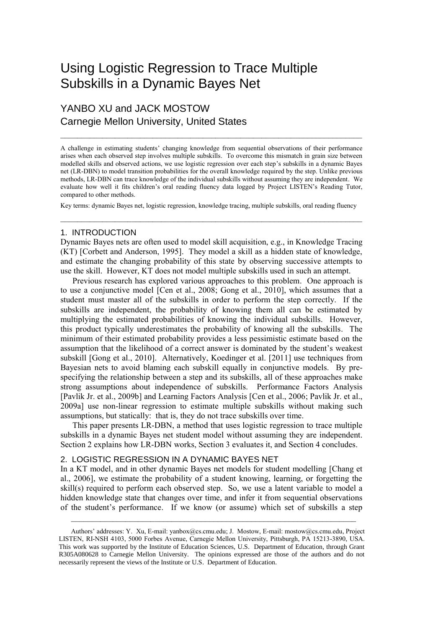# Using Logistic Regression to Trace Multiple Subskills in a Dynamic Bayes Net

# YANBO XU and JACK MOSTOW Carnegie Mellon University, United States

A challenge in estimating students' changing knowledge from sequential observations of their performance arises when each observed step involves multiple subskills. To overcome this mismatch in grain size between modelled skills and observed actions, we use logistic regression over each step's subskills in a dynamic Bayes net (LR-DBN) to model transition probabilities for the overall knowledge required by the step. Unlike previous methods, LR-DBN can trace knowledge of the individual subskills without assuming they are independent. We evaluate how well it fits children's oral reading fluency data logged by Project LISTEN's Reading Tutor, compared to other methods.

 $\mathcal{L}_\mathcal{L} = \{ \mathcal{L}_\mathcal{L} = \{ \mathcal{L}_\mathcal{L} = \{ \mathcal{L}_\mathcal{L} = \{ \mathcal{L}_\mathcal{L} = \{ \mathcal{L}_\mathcal{L} = \{ \mathcal{L}_\mathcal{L} = \{ \mathcal{L}_\mathcal{L} = \{ \mathcal{L}_\mathcal{L} = \{ \mathcal{L}_\mathcal{L} = \{ \mathcal{L}_\mathcal{L} = \{ \mathcal{L}_\mathcal{L} = \{ \mathcal{L}_\mathcal{L} = \{ \mathcal{L}_\mathcal{L} = \{ \mathcal{L}_\mathcal{$ 

Key terms: dynamic Bayes net, logistic regression, knowledge tracing, multiple subskills, oral reading fluency  $\mathcal{L}_\mathcal{L} = \{ \mathcal{L}_\mathcal{L} = \{ \mathcal{L}_\mathcal{L} = \{ \mathcal{L}_\mathcal{L} = \{ \mathcal{L}_\mathcal{L} = \{ \mathcal{L}_\mathcal{L} = \{ \mathcal{L}_\mathcal{L} = \{ \mathcal{L}_\mathcal{L} = \{ \mathcal{L}_\mathcal{L} = \{ \mathcal{L}_\mathcal{L} = \{ \mathcal{L}_\mathcal{L} = \{ \mathcal{L}_\mathcal{L} = \{ \mathcal{L}_\mathcal{L} = \{ \mathcal{L}_\mathcal{L} = \{ \mathcal{L}_\mathcal{$ 

#### 1. INTRODUCTION

Dynamic Bayes nets are often used to model skill acquisition, e.g., in Knowledge Tracing (KT) [\[Corbett and Anderson, 1995\]](#page-4-0). They model a skill as a hidden state of knowledge, and estimate the changing probability of this state by observing successive attempts to use the skill. However, KT does not model multiple subskills used in such an attempt.

Previous research has explored various approaches to this problem. One approach is to use a conjunctive model [\[Cen et al., 2008;](#page-4-1) [Gong et al., 2010\]](#page-4-2), which assumes that a student must master all of the subskills in order to perform the step correctly. If the subskills are independent, the probability of knowing them all can be estimated by multiplying the estimated probabilities of knowing the individual subskills. However, this product typically underestimates the probability of knowing all the subskills. The minimum of their estimated probability provides a less pessimistic estimate based on the assumption that the likelihood of a correct answer is dominated by the student's weakest subskill [\[Gong et al., 2010\]](#page-4-2). Alternatively, Koedinger et al. [\[2011\]](#page-4-3) use techniques from Bayesian nets to avoid blaming each subskill equally in conjunctive models. By prespecifying the relationship between a step and its subskills, all of these approaches make strong assumptions about independence of subskills. Performance Factors Analysis [\[Pavlik Jr. et al., 2009b\]](#page-4-4) and Learning Factors Analysis [\[Cen et al., 2006;](#page-4-5) [Pavlik Jr. et al.,](#page-4-6)  [2009a\]](#page-4-6) use non-linear regression to estimate multiple subskills without making such assumptions, but statically: that is, they do not trace subskills over time.

This paper presents LR-DBN, a method that uses logistic regression to trace multiple subskills in a dynamic Bayes net student model without assuming they are independent. Section 2 explains how LR-DBN works, Section 3 evaluates it, and Section 4 concludes.

### 2. LOGISTIC REGRESSION IN A DYNAMIC BAYES NET

In a KT model, and in other dynamic Bayes net models for student modelling [\[Chang et](#page-4-7)  [al., 2006\]](#page-4-7), we estimate the probability of a student knowing, learning, or forgetting the skill(s) required to perform each observed step. So, we use a latent variable to model a hidden knowledge state that changes over time, and infer it from sequential observations of the student's performance. If we know (or assume) which set of subskills a step

Authors' addresses: Y. Xu, E-mail[: yanbox@cs.cmu.edu;](mailto:yanbox@cs.cmu.edu) J. Mostow, E-mail[: mostow@cs.cmu.edu,](mailto:mostow@cs.cmu.edum) Project LISTEN, RI-NSH 4103, 5000 Forbes Avenue, Carnegie Mellon University, Pittsburgh, PA 15213-3890, USA. This work was supported by the Institute of Education Sciences, U.S. Department of Education, through Grant R305A080628 to Carnegie Mellon University. The opinions expressed are those of the authors and do not necessarily represent the views of the Institute or U.S. Department of Education.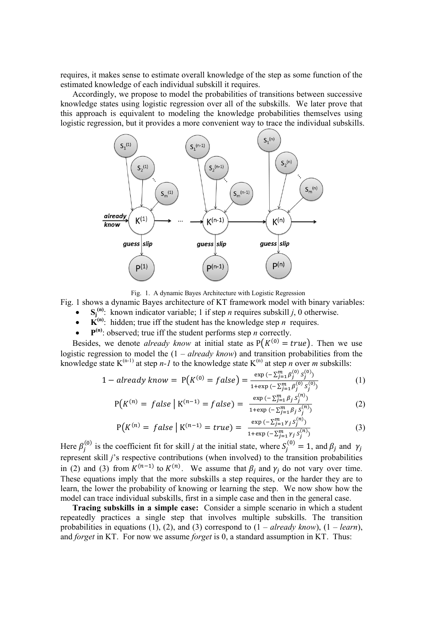requires, it makes sense to estimate overall knowledge of the step as some function of the estimated knowledge of each individual subskill it requires.

Accordingly, we propose to model the probabilities of transitions between successive knowledge states using logistic regression over all of the subskills. We later prove that this approach is equivalent to modeling the knowledge probabilities themselves using logistic regression, but it provides a more convenient way to trace the individual subskills.



Fig. 1. A dynamic Bayes Architecture with Logistic Regression

Fig. 1 shows a dynamic Bayes architecture of KT framework model with binary variables:

- **•**  $S_j^{(n)}$ : known indicator variable; 1 if step *n* requires subskill *j*, 0 otherwise.
- $\mathbf{K}^{(n)}$ : hidden; true iff the student has the knowledge step *n* requires.
- $\bullet$   $\mathbf{P}^{(n)}$ : observed; true iff the student performs step *n* correctly.

Besides, we denote *already know* at initial state as  $P(K^{(0)} = true)$ . Then we use logistic regression to model the (1 – *already know*) and transition probabilities from the knowledge state  $K^{(n-1)}$  at step *n-1* to the knowledge state  $K^{(n)}$  at step *n* over *m* subskills:

$$
1 - already know = P(K^{(0)} = false) = \frac{\exp(-\sum_{j=1}^{m} \beta_j^{(0)} S_j^{(0)})}{1 + \exp(-\sum_{j=1}^{m} \beta_j^{(0)} S_j^{(0)})}
$$
(1)

$$
P(K^{(n)} = false | K^{(n-1)} = false) = \frac{\exp(-\sum_{j=1}^{m} \beta_j S_j^{(n)})}{1 + \exp(-\sum_{j=1}^{m} \beta_j S_j^{(n)})}
$$
(2)

$$
P(K^{(n)} = false \mid K^{(n-1)} = true) = \frac{\exp(-\sum_{j=1}^{m} \gamma_j S_j^{(n)})}{1 + \exp(-\sum_{j=1}^{m} \gamma_j S_j^{(n)})}
$$
(3)

Here  $\beta_i^{(0)}$  is the coefficient fit for skill *j* at the initial state, where  $S_i^{(0)} = 1$ , and  $\beta_i$  and represent skill *j*'s respective contributions (when involved) to the transition probabilities in (2) and (3) from  $K^{(n-1)}$  to  $K^{(n)}$ . We assume that  $\beta_i$  and  $\gamma_i$  do not vary over time. These equations imply that the more subskills a step requires, or the harder they are to learn, the lower the probability of knowing or learning the step. We now show how the model can trace individual subskills, first in a simple case and then in the general case.

**Tracing subskills in a simple case:**Consider a simple scenario in which a student repeatedly practices a single step that involves multiple subskills. The transition probabilities in equations (1), (2), and (3) correspond to  $(1 - already know)$ ,  $(1 - learn)$ , and *forget* in KT. For now we assume *forget* is 0, a standard assumption in KT. Thus: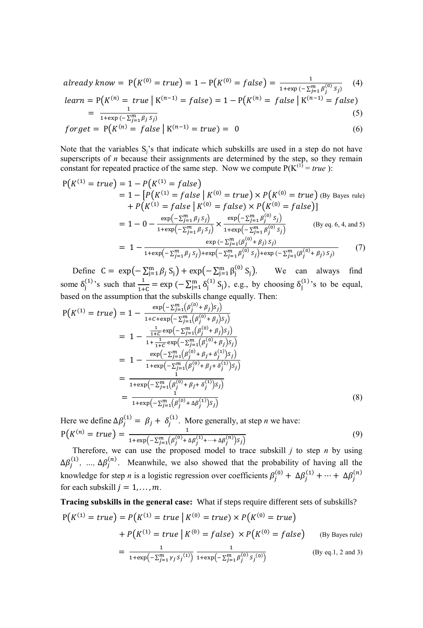*already know* = 
$$
P(K^{(0)} = true) = 1 - P(K^{(0)} = false) = \frac{1}{1 + \exp(-\sum_{j=1}^{m} \beta_j^{(0)} s_j)}
$$
 (4)

$$
learn = P(K^{(n)} = true \mid K^{(n-1)} = false) = 1 - P(K^{(n)} = false \mid K^{(n-1)} = false)
$$
  
= 
$$
\frac{1}{1 + \text{tan}(-\sum_{i=1}^{m} a_i s_i)}.
$$
 (5)

$$
- \frac{1 + \exp\left(-\sum_{j=1}^{m} \beta_j S_j\right)}{1 + \exp\left(-\sum_{j=1}^{m} \beta_j S_j\right)}
$$
\n
$$
forget = P\left(K^{(n)} = false \mid K^{(n-1)} = true\right) = 0
$$
\n
$$
(6)
$$

Note that the variables  $S_i$ 's that indicate which subskills are used in a step do not have superscripts of *n* because their assignments are determined by the step, so they remain constant for repeated practice of the same step. Now we compute  $P(K^{(1)} = true)$ :

$$
P(K^{(1)} = true) = 1 - P(K^{(1)} = false)
$$
  
= 1 - [P(K^{(1)} = false | K^{(0)} = true) × P(K^{(0)} = true) (By Bayes rule)  
+ P(K^{(1)} = false | K^{(0)} = false) × P(K^{(0)} = false)]  
= 1 - 0 -  $\frac{\exp(-\sum_{j=1}^{m} \beta_j s_j)}{1 + \exp(-\sum_{j=1}^{m} \beta_j s_j)} \times \frac{\exp(-\sum_{j=1}^{m} \beta_j^{(0)} s_j)}{1 + \exp(-\sum_{j=1}^{m} \beta_j^{(0)} s_j)}$  (By eq. 6, 4, and 5)  
= 1 -  $\frac{\exp(-\sum_{j=1}^{m} (\beta_j^{(0)} + \beta_j) s_j)}{1 + \exp(-\sum_{j=1}^{m} \beta_j^{(0)} s_j) + \exp(-\sum_{j=1}^{m} (\beta_j^{(0)} + \beta_j) s_j)}$  (7)

Define  $C = \exp(-\sum_{j=1}^{m} \beta_j S_j) + \exp(-\sum_{j=1}^{m} \beta_j^{(0)} S_j)$  We can always find some  $\delta_j^{(1)}$ 's such that  $\frac{1}{1+C} = \exp(-\sum_{j=1}^m \delta_j^{(1)} S_j)$ , e.g., by choosing  $\delta_j^{(1)}$ 's to be equal, based on the assumption that the subskills change equally. Then:

$$
P(K^{(1)} = true) = 1 - \frac{\exp(-\sum_{j=1}^{m} (\beta_j^{(0)} + \beta_j)s_j)}{1 + C + \exp(-\sum_{j=1}^{m} (\beta_j^{(0)} + \beta_j)s_j)}
$$
  
= 
$$
1 - \frac{\frac{1}{1 + C} \exp(-\sum_{j=1}^{m} (\beta_j^{(0)} + \beta_j)s_j)}{1 + \frac{1}{1 + C} \exp(-\sum_{j=1}^{m} (\beta_j^{(0)} + \beta_j)s_j)}
$$
  
= 
$$
1 - \frac{\exp(-\sum_{j=1}^{m} (\beta_j^{(0)} + \beta_j + \delta_j^{(1)})s_j)}{1 + \exp(-\sum_{j=1}^{m} (\beta_j^{(0)} + \beta_j + \delta_j^{(1)})s_j)}
$$
  
= 
$$
\frac{1}{1 + \exp(-\sum_{j=1}^{m} (\beta_j^{(0)} + \beta_j + \delta_j^{(1)})s_j)}
$$
  
= 
$$
\frac{1}{1 + \exp(-\sum_{j=1}^{m} (\beta_j^{(0)} + \Delta \beta_j^{(1)})s_j)}
$$
(8)

Here we define  $\Delta \beta_i^{(1)} = \beta_i + \delta_i^{(1)}$ . More generally, at step *n* we have:  $P(K^{(n)} = true) = \frac{1}{(1 - e^{n})^2}$  $\frac{1}{1+\exp\left(-\sum_{j=1}^{m}(\beta_j^{(0)}+\Delta\beta_j^{(1)}+\cdots+\Delta\beta_j^{(n)})s_j\right)}$ (9)

Therefore, we can use the proposed model to trace subskill  $j$  to step  $n$  by using  $\Delta \beta_i^{(1)}$ , ...,  $\Delta \beta_i^{(n)}$ . Meanwhile, we also showed that the probability of having all the knowledge for step *n* is a logistic regression over coefficients  $\beta_i^{(0)} + \Delta \beta_i^{(1)} + \cdots + \Delta \beta_i^{(1)}$ for each subskill  $j = 1, \ldots, m$ .

**Tracing subskills in the general case:** What if steps require different sets of subskills?  $P(K^{(1)} = true) = P(K^{(1)} = true | K^{(0)} = true) \times P(K^{(1)})$ 

+ 
$$
P(K^{(1)} = true \mid K^{(0)} = false) \times P(K^{(0)} = false)
$$
 (By Bayes rule)  
=  $\frac{1}{1 + \exp(-\sum_{j=1}^{m} \gamma_j S_j^{(1)})}$   $\frac{1}{1 + \exp(-\sum_{j=1}^{m} \beta_j^{(0)} S_j^{(0)})}$  (By eq.1, 2 and 3)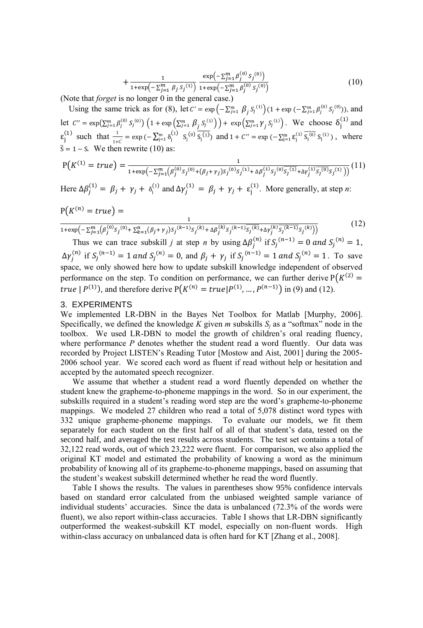$$
+\frac{1}{1+\exp\left(-\sum_{j=1}^{m} \beta_j S_j^{(1)}\right)} \frac{\exp\left(-\sum_{j=1}^{m} \beta_j^{(0)} S_j^{(0)}\right)}{1+\exp\left(-\sum_{j=1}^{m} \beta_j^{(0)} S_j^{(0)}\right)}\tag{10}
$$

(Note that *forget* is no longer 0 in the general case.)

Using the same trick as for (8), let  $C' = \exp(-\sum_{j=1}^{m} \beta_j S_j^{(1)}) (1 + \exp(-\sum_{j=1}^{m} \beta_j^{(0)} S_j^{(0)})$ , and let  $C'' = \exp(\sum_{j=1}^m \beta_j^{(0)} S_j^{(0)}) (1 + \exp(\sum_{j=1}^m \beta_j S_j^{(1)}) + \exp(\sum_{j=1}^m \gamma_j S_j^{(1)})$ . We choose  $\delta_i^{(1)}$  and  $\varepsilon_j^{(1)}$  such that  $\frac{1}{1+c'} = \exp(-\sum_{j=1}^m \delta_j^{(1)} S_j^{(0)} \overline{S_j^{(1)}})$  and  $1 + C'' = \exp(-\sum_{j=1}^m \varepsilon_j^{(1)} \overline{S_j^{(0)}} S_j^{(1)})$ , where  $\bar{s} = 1 - s$ . We then rewrite (10) as:

$$
P(K^{(1)} = true) = \frac{1}{1 + \exp(-\sum_{j=1}^{m} (\beta_j^{(0)} s_j^{(0)} + (\beta_j + \gamma_j) s_j^{(0)} s_j^{(1)} + \Delta \beta_j^{(1)} s_j^{(0)} \overline{s_j^{(1)}} + \Delta \gamma_j^{(1)} \overline{s_j^{(0)}} s_j^{(1)}))} (11)
$$

Here  $\Delta \beta_i^{(1)} = \beta_i + \gamma_i + \delta_i^{(1)}$  and  $\Delta \gamma_i^{(1)} = \beta_i + \gamma_i + \epsilon_i^{(1)}$ . More generally, at step *n*:

$$
P(K^{(n)} = true) = \frac{1}{1 + \exp(-\sum_{j=1}^{m} (\beta_j^{(0)} s_j^{(0)} + \sum_{k=1}^{n} (\beta_j + \gamma_j) s_j^{(k-1)} s_j^{(k)} + \Delta \beta_j^{(k)} s_j^{(k-1)} s_j^{(k)}) + \Delta \gamma_j^{(k)} s_j^{(k-1)} s_j^{(k)})}
$$
(12)

Thus we can trace subskill *j* at step *n* by using  $\Delta \beta_i^{(n)}$  if  $S_i^{(n-1)} = 0$  and  $S_i^{(n)} = 1$ ,  $\Delta \gamma_i^{(n)}$  if  $S_i^{(n-1)} = 1$  and  $S_i^{(n)} = 0$ , and  $\beta_i + \gamma_i$  if  $S_i^{(n-1)} = 1$  and  $S_i^{(n)} = 1$ . To save space, we only showed here how to update subskill knowledge independent of observed performance on the step. To condition on performance, we can further derive  $P(K^{\mathcal{C}})$ *true*  $|P^{(1)}|$ , and therefore derive  $P(K^{(n)} = true | P^{(1)}, ..., P^{(n-1)})$  in (9) and (12).

#### 3. EXPERIMENTS

We implemented LR-DBN in the Bayes Net Toolbox for Matlab [\[Murphy, 2006\]](#page-4-8). Specifically, we defined the knowledge *K* given *m* subskills  $S_i$  as a "softmax" node in the toolbox. We used LR-DBN to model the growth of children's oral reading fluency, where performance *P* denotes whether the student read a word fluently. Our data was recorded by Project LISTEN's Reading Tutor [\[Mostow and Aist, 2001\]](#page-4-9) during the 2005- 2006 school year. We scored each word as fluent if read without help or hesitation and accepted by the automated speech recognizer.

We assume that whether a student read a word fluently depended on whether the student knew the grapheme-to-phoneme mappings in the word. So in our experiment, the subskills required in a student's reading word step are the word's grapheme-to-phoneme mappings. We modeled 27 children who read a total of 5,078 distinct word types with 332 unique grapheme-phoneme mappings. To evaluate our models, we fit them separately for each student on the first half of all of that student's data, tested on the second half, and averaged the test results across students. The test set contains a total of 32,122 read words, out of which 23,222 were fluent. For comparison, we also applied the original KT model and estimated the probability of knowing a word as the minimum probability of knowing all of its grapheme-to-phoneme mappings, based on assuming that the student's weakest subskill determined whether he read the word fluently.

Table I shows the results. The values in parentheses show 95% confidence intervals based on standard error calculated from the unbiased weighted sample variance of individual students' accuracies. Since the data is unbalanced (72.3% of the words were fluent), we also report within-class accuracies. Table I shows that LR-DBN significantly outperformed the weakest-subskill KT model, especially on non-fluent words. High within-class accuracy on unbalanced data is often hard for KT [\[Zhang et al., 2008\]](#page-4-10).